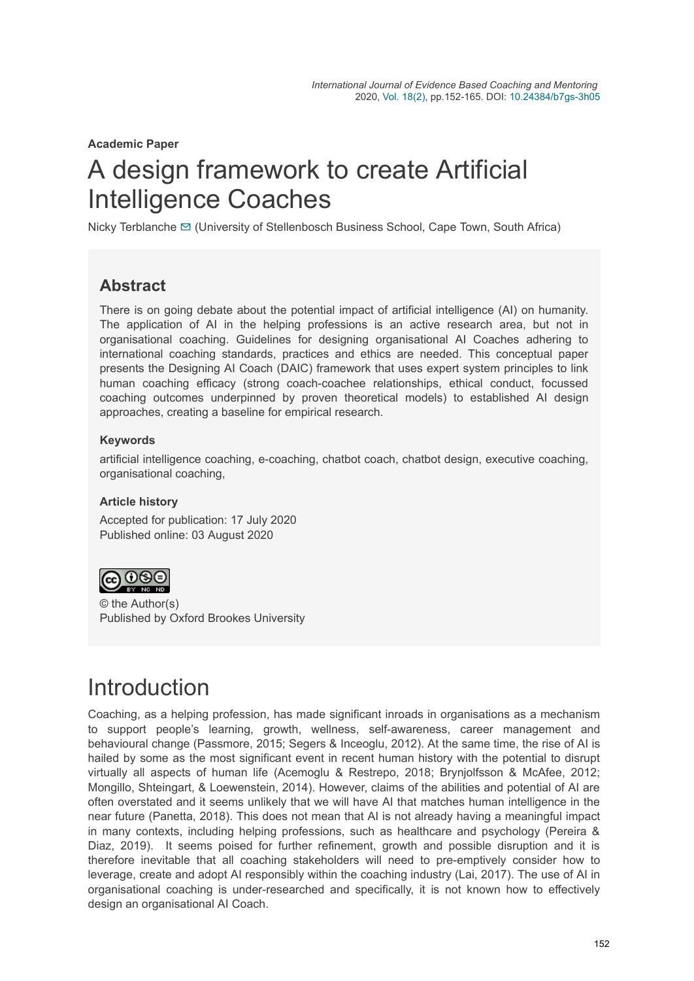**Academic Paper**

# A design framework to create Artificial Intelligence Coaches

Nicky Terblanche [✉](mailto:nickyt@usb.ac.za) (University of Stellenbosch Business School, Cape Town, South Africa)

### **Abstract**

There is on going debate about the potential impact of artificial intelligence (AI) on humanity. The application of AI in the helping professions is an active research area, but not in organisational coaching. Guidelines for designing organisational AI Coaches adhering to international coaching standards, practices and ethics are needed. This conceptual paper presents the Designing AI Coach (DAIC) framework that uses expert system principles to link human coaching efficacy (strong coach-coachee relationships, ethical conduct, focussed coaching outcomes underpinned by proven theoretical models) to established AI design approaches, creating a baseline for empirical research.

#### **Keywords**

artificial intelligence coaching, e-coaching, chatbot coach, chatbot design, executive coaching, organisational coaching,

#### **Article history**

Accepted for publication: 17 July 2020 Published online: 03 August 2020



© the Author(s) Published by Oxford Brookes University

## **Introduction**

Coaching, as a helping profession, has made significant inroads in organisations as a mechanism to support people's learning, growth, wellness, self-awareness, career management and behavioural change (Passmore, 2015; Segers & Inceoglu, 2012). At the same time, the rise of AI is hailed by some as the most significant event in recent human history with the potential to disrupt virtually all aspects of human life (Acemoglu & Restrepo, 2018; Brynjolfsson & McAfee, 2012; Mongillo, Shteingart, & Loewenstein, 2014). However, claims of the abilities and potential of AI are often overstated and it seems unlikely that we will have AI that matches human intelligence in the near future (Panetta, 2018). This does not mean that AI is not already having a meaningful impact in many contexts, including helping professions, such as healthcare and psychology (Pereira & Diaz, 2019). It seems poised for further refinement, growth and possible disruption and it is therefore inevitable that all coaching stakeholders will need to pre-emptively consider how to leverage, create and adopt AI responsibly within the coaching industry (Lai, 2017). The use of AI in organisational coaching is under-researched and specifically, it is not known how to effectively design an organisational AI Coach.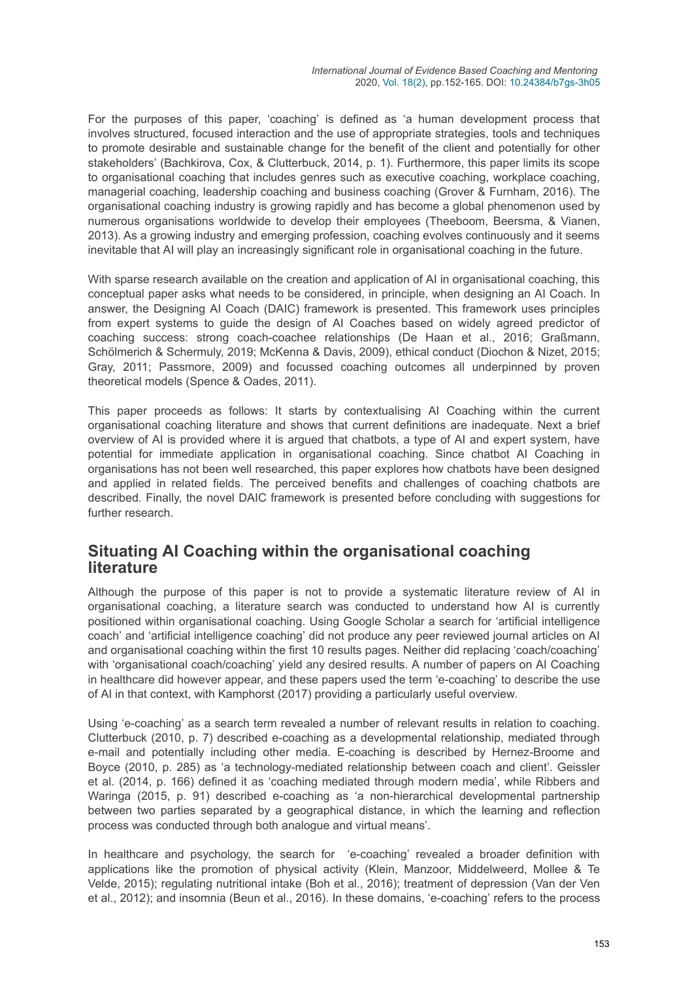For the purposes of this paper, 'coaching' is defined as 'a human development process that involves structured, focused interaction and the use of appropriate strategies, tools and techniques to promote desirable and sustainable change for the benefit of the client and potentially for other stakeholders' (Bachkirova, Cox, & Clutterbuck, 2014, p. 1). Furthermore, this paper limits its scope to organisational coaching that includes genres such as executive coaching, workplace coaching, managerial coaching, leadership coaching and business coaching (Grover & Furnham, 2016). The organisational coaching industry is growing rapidly and has become a global phenomenon used by numerous organisations worldwide to develop their employees (Theeboom, Beersma, & Vianen, 2013). As a growing industry and emerging profession, coaching evolves continuously and it seems inevitable that AI will play an increasingly significant role in organisational coaching in the future.

With sparse research available on the creation and application of AI in organisational coaching, this conceptual paper asks what needs to be considered, in principle, when designing an AI Coach. In answer, the Designing AI Coach (DAIC) framework is presented. This framework uses principles from expert systems to guide the design of AI Coaches based on widely agreed predictor of coaching success: strong coach-coachee relationships (De Haan et al., 2016; Graßmann, Schölmerich & Schermuly, 2019; McKenna & Davis, 2009), ethical conduct (Diochon & Nizet, 2015; Gray, 2011; Passmore, 2009) and focussed coaching outcomes all underpinned by proven theoretical models (Spence & Oades, 2011).

This paper proceeds as follows: It starts by contextualising AI Coaching within the current organisational coaching literature and shows that current definitions are inadequate. Next a brief overview of AI is provided where it is argued that chatbots, a type of AI and expert system, have potential for immediate application in organisational coaching. Since chatbot AI Coaching in organisations has not been well researched, this paper explores how chatbots have been designed and applied in related fields. The perceived benefits and challenges of coaching chatbots are described. Finally, the novel DAIC framework is presented before concluding with suggestions for further research.

### **Situating AI Coaching within the organisational coaching literature**

Although the purpose of this paper is not to provide a systematic literature review of AI in organisational coaching, a literature search was conducted to understand how AI is currently positioned within organisational coaching. Using Google Scholar a search for 'artificial intelligence coach' and 'artificial intelligence coaching' did not produce any peer reviewed journal articles on AI and organisational coaching within the first 10 results pages. Neither did replacing 'coach/coaching' with 'organisational coach/coaching' yield any desired results. A number of papers on AI Coaching in healthcare did however appear, and these papers used the term 'e-coaching' to describe the use of AI in that context, with Kamphorst (2017) providing a particularly useful overview.

Using 'e-coaching' as a search term revealed a number of relevant results in relation to coaching. Clutterbuck (2010, p. 7) described e-coaching as a developmental relationship, mediated through e-mail and potentially including other media. E-coaching is described by Hernez-Broome and Boyce (2010, p. 285) as 'a technology-mediated relationship between coach and client'. Geissler et al. (2014, p. 166) defined it as 'coaching mediated through modern media', while Ribbers and Waringa (2015, p. 91) described e-coaching as 'a non-hierarchical developmental partnership between two parties separated by a geographical distance, in which the learning and reflection process was conducted through both analogue and virtual means'.

In healthcare and psychology, the search for 'e-coaching' revealed a broader definition with applications like the promotion of physical activity (Klein, Manzoor, Middelweerd, Mollee & Te Velde, 2015); regulating nutritional intake (Boh et al., 2016); treatment of depression (Van der Ven et al., 2012); and insomnia (Beun et al., 2016). In these domains, 'e-coaching' refers to the process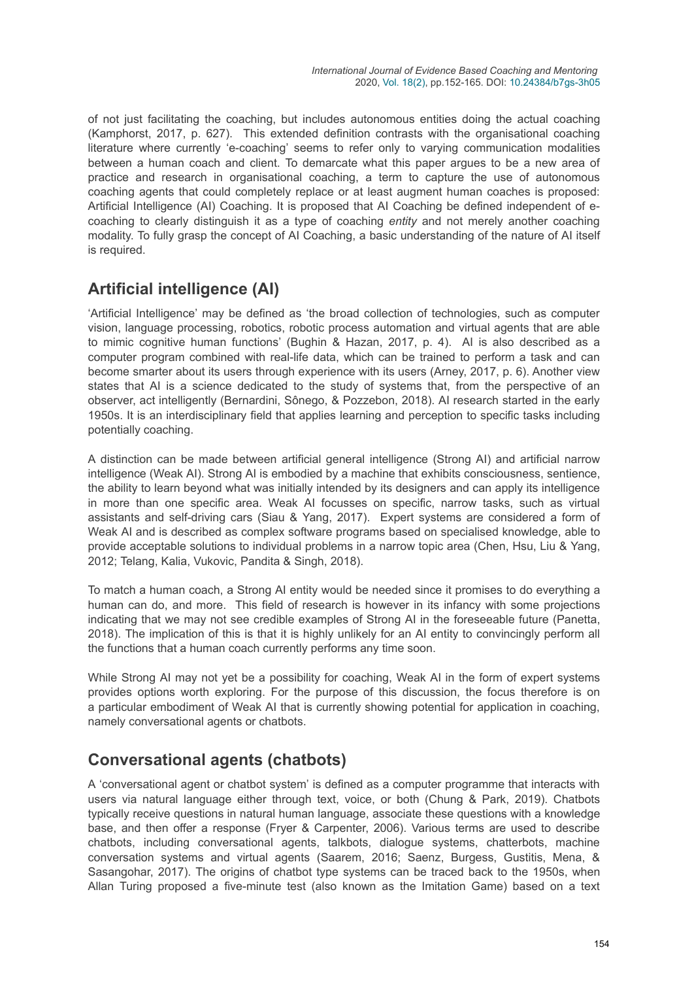of not just facilitating the coaching, but includes autonomous entities doing the actual coaching (Kamphorst, 2017, p. 627). This extended definition contrasts with the organisational coaching literature where currently 'e-coaching' seems to refer only to varying communication modalities between a human coach and client. To demarcate what this paper argues to be a new area of practice and research in organisational coaching, a term to capture the use of autonomous coaching agents that could completely replace or at least augment human coaches is proposed: Artificial Intelligence (AI) Coaching. It is proposed that AI Coaching be defined independent of ecoaching to clearly distinguish it as a type of coaching *entity* and not merely another coaching modality. To fully grasp the concept of AI Coaching, a basic understanding of the nature of AI itself is required.

### **Artificial intelligence (AI)**

'Artificial Intelligence' may be defined as 'the broad collection of technologies, such as computer vision, language processing, robotics, robotic process automation and virtual agents that are able to mimic cognitive human functions' (Bughin & Hazan, 2017, p. 4). AI is also described as a computer program combined with real-life data, which can be trained to perform a task and can become smarter about its users through experience with its users (Arney, 2017, p. 6). Another view states that AI is a science dedicated to the study of systems that, from the perspective of an observer, act intelligently (Bernardini, Sônego, & Pozzebon, 2018). AI research started in the early 1950s. It is an interdisciplinary field that applies learning and perception to specific tasks including potentially coaching.

A distinction can be made between artificial general intelligence (Strong AI) and artificial narrow intelligence (Weak AI). Strong AI is embodied by a machine that exhibits consciousness, sentience, the ability to learn beyond what was initially intended by its designers and can apply its intelligence in more than one specific area. Weak AI focusses on specific, narrow tasks, such as virtual assistants and self-driving cars (Siau & Yang, 2017). Expert systems are considered a form of Weak AI and is described as complex software programs based on specialised knowledge, able to provide acceptable solutions to individual problems in a narrow topic area (Chen, Hsu, Liu & Yang, 2012; Telang, Kalia, Vukovic, Pandita & Singh, 2018).

To match a human coach, a Strong AI entity would be needed since it promises to do everything a human can do, and more. This field of research is however in its infancy with some projections indicating that we may not see credible examples of Strong AI in the foreseeable future (Panetta, 2018). The implication of this is that it is highly unlikely for an AI entity to convincingly perform all the functions that a human coach currently performs any time soon.

While Strong AI may not yet be a possibility for coaching, Weak AI in the form of expert systems provides options worth exploring. For the purpose of this discussion, the focus therefore is on a particular embodiment of Weak AI that is currently showing potential for application in coaching, namely conversational agents or chatbots.

### **Conversational agents (chatbots)**

A 'conversational agent or chatbot system' is defined as a computer programme that interacts with users via natural language either through text, voice, or both (Chung & Park, 2019). Chatbots typically receive questions in natural human language, associate these questions with a knowledge base, and then offer a response (Fryer & Carpenter, 2006). Various terms are used to describe chatbots, including conversational agents, talkbots, dialogue systems, chatterbots, machine conversation systems and virtual agents (Saarem, 2016; Saenz, Burgess, Gustitis, Mena, & Sasangohar, 2017). The origins of chatbot type systems can be traced back to the 1950s, when Allan Turing proposed a five-minute test (also known as the Imitation Game) based on a text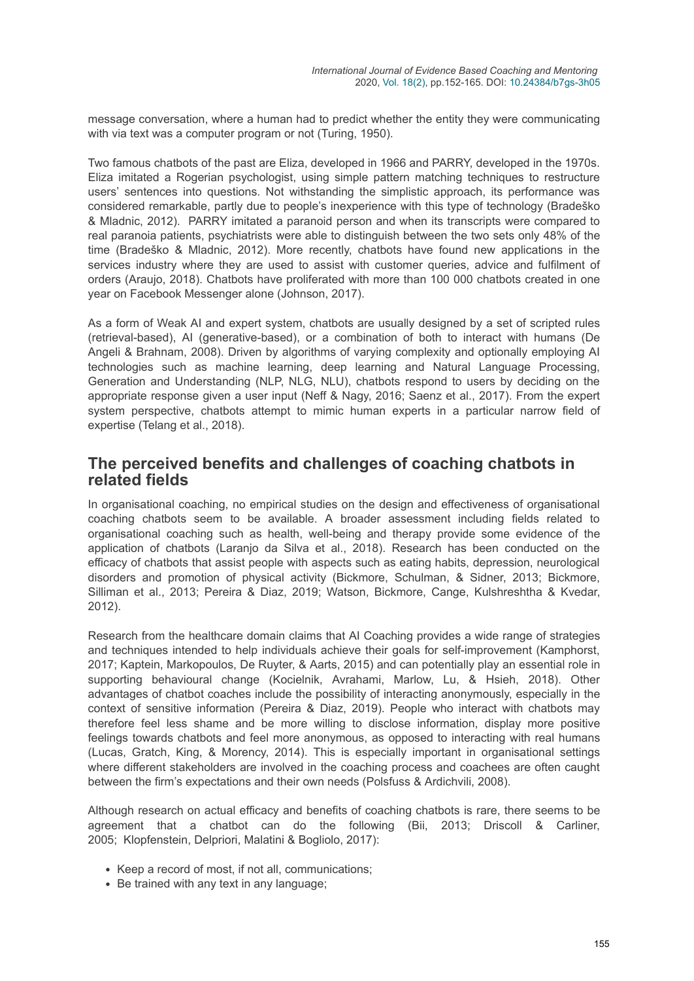message conversation, where a human had to predict whether the entity they were communicating with via text was a computer program or not (Turing, 1950).

Two famous chatbots of the past are Eliza, developed in 1966 and PARRY, developed in the 1970s. Eliza imitated a Rogerian psychologist, using simple pattern matching techniques to restructure users' sentences into questions. Not withstanding the simplistic approach, its performance was considered remarkable, partly due to people's inexperience with this type of technology (Bradeško & Mladnic, 2012). PARRY imitated a paranoid person and when its transcripts were compared to real paranoia patients, psychiatrists were able to distinguish between the two sets only 48% of the time (Bradeško & Mladnic, 2012). More recently, chatbots have found new applications in the services industry where they are used to assist with customer queries, advice and fulfilment of orders (Araujo, 2018). Chatbots have proliferated with more than 100 000 chatbots created in one year on Facebook Messenger alone (Johnson, 2017).

As a form of Weak AI and expert system, chatbots are usually designed by a set of scripted rules (retrieval-based), AI (generative-based), or a combination of both to interact with humans (De Angeli & Brahnam, 2008). Driven by algorithms of varying complexity and optionally employing AI technologies such as machine learning, deep learning and Natural Language Processing, Generation and Understanding (NLP, NLG, NLU), chatbots respond to users by deciding on the appropriate response given a user input (Neff & Nagy, 2016; Saenz et al., 2017). From the expert system perspective, chatbots attempt to mimic human experts in a particular narrow field of expertise (Telang et al., 2018).

#### **The perceived benefits and challenges of coaching chatbots in related fields**

In organisational coaching, no empirical studies on the design and effectiveness of organisational coaching chatbots seem to be available. A broader assessment including fields related to organisational coaching such as health, well-being and therapy provide some evidence of the application of chatbots (Laranjo da Silva et al., 2018). Research has been conducted on the efficacy of chatbots that assist people with aspects such as eating habits, depression, neurological disorders and promotion of physical activity (Bickmore, Schulman, & Sidner, 2013; Bickmore, Silliman et al., 2013; Pereira & Diaz, 2019; Watson, Bickmore, Cange, Kulshreshtha & Kvedar, 2012).

Research from the healthcare domain claims that AI Coaching provides a wide range of strategies and techniques intended to help individuals achieve their goals for self-improvement (Kamphorst, 2017; Kaptein, Markopoulos, De Ruyter, & Aarts, 2015) and can potentially play an essential role in supporting behavioural change (Kocielnik, Avrahami, Marlow, Lu, & Hsieh, 2018). Other advantages of chatbot coaches include the possibility of interacting anonymously, especially in the context of sensitive information (Pereira & Diaz, 2019). People who interact with chatbots may therefore feel less shame and be more willing to disclose information, display more positive feelings towards chatbots and feel more anonymous, as opposed to interacting with real humans (Lucas, Gratch, King, & Morency, 2014). This is especially important in organisational settings where different stakeholders are involved in the coaching process and coachees are often caught between the firm's expectations and their own needs (Polsfuss & Ardichvili, 2008).

Although research on actual efficacy and benefits of coaching chatbots is rare, there seems to be agreement that a chatbot can do the following (Bii, 2013; Driscoll & Carliner, 2005; Klopfenstein, Delpriori, Malatini & Bogliolo, 2017):

- Keep a record of most, if not all, communications;
- Be trained with any text in any language;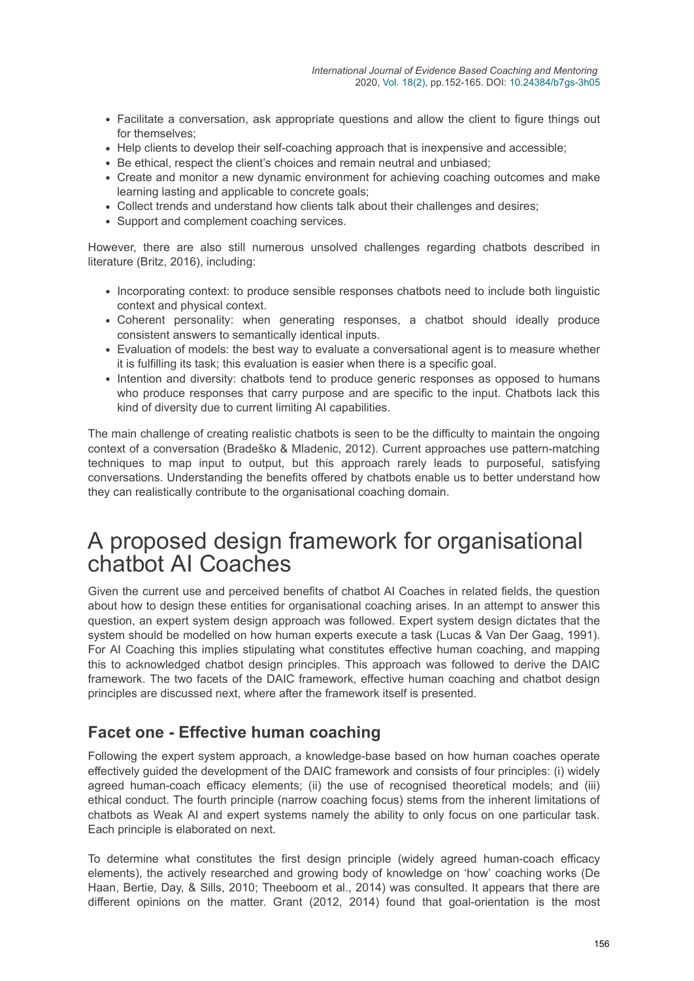- Facilitate a conversation, ask appropriate questions and allow the client to figure things out for themselves;
- Help clients to develop their self-coaching approach that is inexpensive and accessible;
- Be ethical, respect the client's choices and remain neutral and unbiased;
- Create and monitor a new dynamic environment for achieving coaching outcomes and make learning lasting and applicable to concrete goals;
- Collect trends and understand how clients talk about their challenges and desires;
- Support and complement coaching services.

However, there are also still numerous unsolved challenges regarding chatbots described in literature (Britz, 2016), including:

- Incorporating context: to produce sensible responses chatbots need to include both linguistic context and physical context.
- Coherent personality: when generating responses, a chatbot should ideally produce consistent answers to semantically identical inputs.
- Evaluation of models: the best way to evaluate a conversational agent is to measure whether it is fulfilling its task; this evaluation is easier when there is a specific goal.
- Intention and diversity: chatbots tend to produce generic responses as opposed to humans who produce responses that carry purpose and are specific to the input. Chatbots lack this kind of diversity due to current limiting AI capabilities.

The main challenge of creating realistic chatbots is seen to be the difficulty to maintain the ongoing context of a conversation (Bradeško & Mladenic, 2012). Current approaches use pattern-matching techniques to map input to output, but this approach rarely leads to purposeful, satisfying conversations. Understanding the benefits offered by chatbots enable us to better understand how they can realistically contribute to the organisational coaching domain.

### A proposed design framework for organisational chatbot AI Coaches

Given the current use and perceived benefits of chatbot AI Coaches in related fields, the question about how to design these entities for organisational coaching arises. In an attempt to answer this question, an expert system design approach was followed. Expert system design dictates that the system should be modelled on how human experts execute a task (Lucas & Van Der Gaag, 1991). For AI Coaching this implies stipulating what constitutes effective human coaching, and mapping this to acknowledged chatbot design principles. This approach was followed to derive the DAIC framework. The two facets of the DAIC framework, effective human coaching and chatbot design principles are discussed next, where after the framework itself is presented.

#### **Facet one - Effective human coaching**

Following the expert system approach, a knowledge-base based on how human coaches operate effectively guided the development of the DAIC framework and consists of four principles: (i) widely agreed human-coach efficacy elements; (ii) the use of recognised theoretical models; and (iii) ethical conduct. The fourth principle (narrow coaching focus) stems from the inherent limitations of chatbots as Weak AI and expert systems namely the ability to only focus on one particular task. Each principle is elaborated on next.

To determine what constitutes the first design principle (widely agreed human-coach efficacy elements), the actively researched and growing body of knowledge on 'how' coaching works (De Haan, Bertie, Day, & Sills, 2010; Theeboom et al., 2014) was consulted. It appears that there are different opinions on the matter. Grant (2012, 2014) found that goal-orientation is the most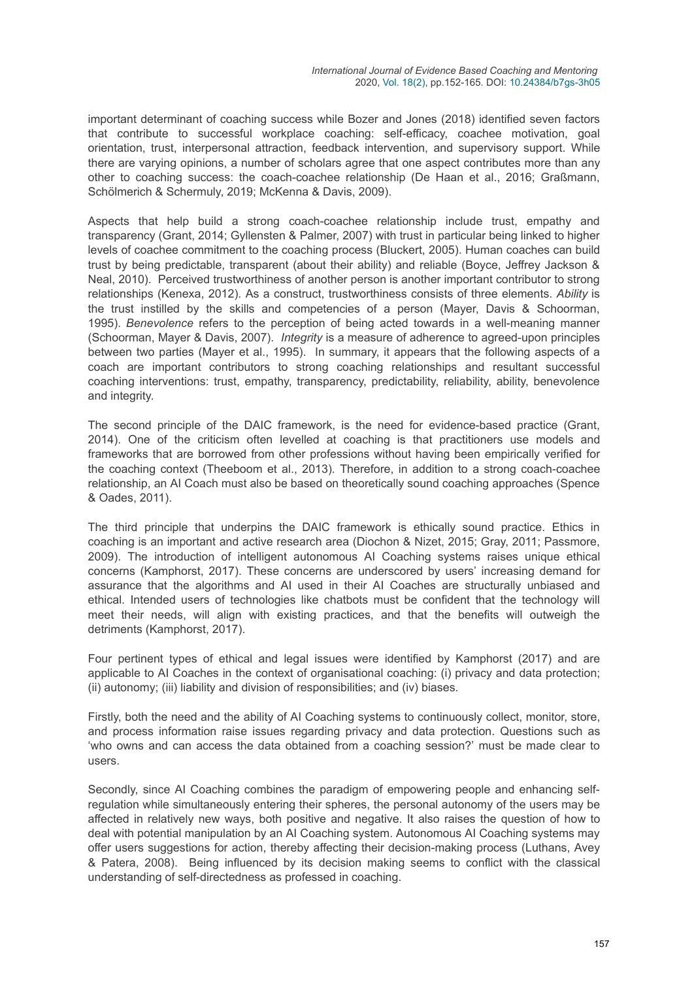important determinant of coaching success while Bozer and Jones (2018) identified seven factors that contribute to successful workplace coaching: self-efficacy, coachee motivation, goal orientation, trust, interpersonal attraction, feedback intervention, and supervisory support. While there are varying opinions, a number of scholars agree that one aspect contributes more than any other to coaching success: the coach-coachee relationship (De Haan et al., 2016; Graßmann, Schölmerich & Schermuly, 2019; McKenna & Davis, 2009).

Aspects that help build a strong coach-coachee relationship include trust, empathy and transparency (Grant, 2014; Gyllensten & Palmer, 2007) with trust in particular being linked to higher levels of coachee commitment to the coaching process (Bluckert, 2005). Human coaches can build trust by being predictable, transparent (about their ability) and reliable (Boyce, Jeffrey Jackson & Neal, 2010). Perceived trustworthiness of another person is another important contributor to strong relationships (Kenexa, 2012). As a construct, trustworthiness consists of three elements. *Ability* is the trust instilled by the skills and competencies of a person (Mayer, Davis & Schoorman, 1995). *Benevolence* refers to the perception of being acted towards in a well-meaning manner (Schoorman, Mayer & Davis, 2007). *Integrity* is a measure of adherence to agreed-upon principles between two parties (Mayer et al., 1995). In summary, it appears that the following aspects of a coach are important contributors to strong coaching relationships and resultant successful coaching interventions: trust, empathy, transparency, predictability, reliability, ability, benevolence and integrity.

The second principle of the DAIC framework, is the need for evidence-based practice (Grant, 2014). One of the criticism often levelled at coaching is that practitioners use models and frameworks that are borrowed from other professions without having been empirically verified for the coaching context (Theeboom et al., 2013). Therefore, in addition to a strong coach-coachee relationship, an AI Coach must also be based on theoretically sound coaching approaches (Spence & Oades, 2011).

The third principle that underpins the DAIC framework is ethically sound practice. Ethics in coaching is an important and active research area (Diochon & Nizet, 2015; Gray, 2011; Passmore, 2009). The introduction of intelligent autonomous AI Coaching systems raises unique ethical concerns (Kamphorst, 2017). These concerns are underscored by users' increasing demand for assurance that the algorithms and AI used in their AI Coaches are structurally unbiased and ethical. Intended users of technologies like chatbots must be confident that the technology will meet their needs, will align with existing practices, and that the benefits will outweigh the detriments (Kamphorst, 2017).

Four pertinent types of ethical and legal issues were identified by Kamphorst (2017) and are applicable to AI Coaches in the context of organisational coaching: (i) privacy and data protection; (ii) autonomy; (iii) liability and division of responsibilities; and (iv) biases.

Firstly, both the need and the ability of AI Coaching systems to continuously collect, monitor, store, and process information raise issues regarding privacy and data protection. Questions such as 'who owns and can access the data obtained from a coaching session?' must be made clear to users.

Secondly, since AI Coaching combines the paradigm of empowering people and enhancing selfregulation while simultaneously entering their spheres, the personal autonomy of the users may be affected in relatively new ways, both positive and negative. It also raises the question of how to deal with potential manipulation by an AI Coaching system. Autonomous AI Coaching systems may offer users suggestions for action, thereby affecting their decision-making process (Luthans, Avey & Patera, 2008). Being influenced by its decision making seems to conflict with the classical understanding of self-directedness as professed in coaching.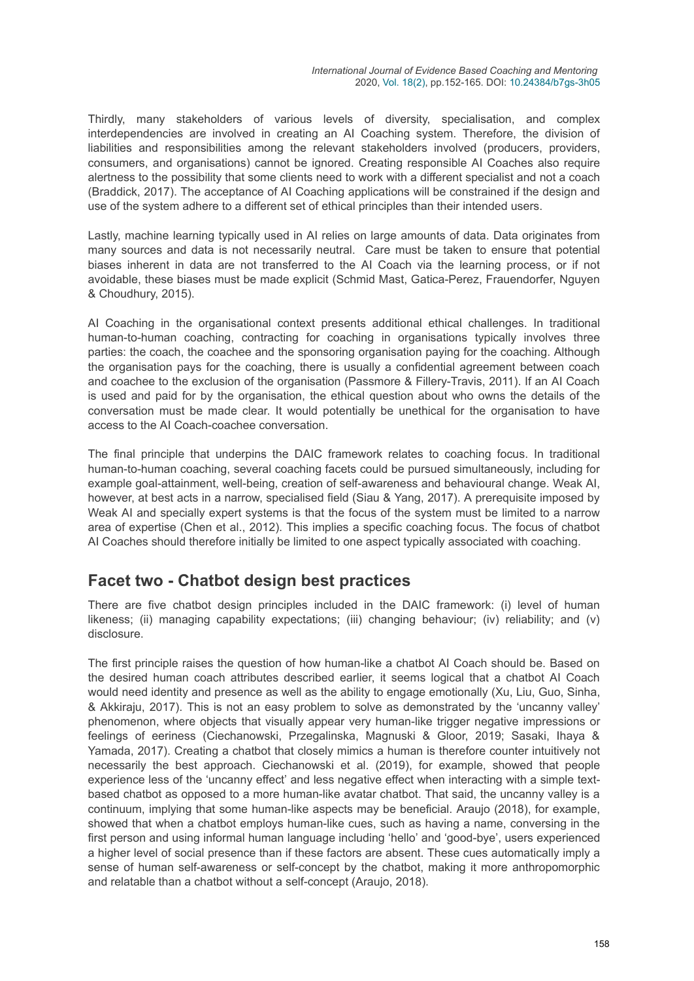Thirdly, many stakeholders of various levels of diversity, specialisation, and complex interdependencies are involved in creating an AI Coaching system. Therefore, the division of liabilities and responsibilities among the relevant stakeholders involved (producers, providers, consumers, and organisations) cannot be ignored. Creating responsible AI Coaches also require alertness to the possibility that some clients need to work with a different specialist and not a coach (Braddick, 2017). The acceptance of AI Coaching applications will be constrained if the design and use of the system adhere to a different set of ethical principles than their intended users.

Lastly, machine learning typically used in AI relies on large amounts of data. Data originates from many sources and data is not necessarily neutral. Care must be taken to ensure that potential biases inherent in data are not transferred to the AI Coach via the learning process, or if not avoidable, these biases must be made explicit (Schmid Mast, Gatica-Perez, Frauendorfer, Nguyen & Choudhury, 2015).

AI Coaching in the organisational context presents additional ethical challenges. In traditional human-to-human coaching, contracting for coaching in organisations typically involves three parties: the coach, the coachee and the sponsoring organisation paying for the coaching. Although the organisation pays for the coaching, there is usually a confidential agreement between coach and coachee to the exclusion of the organisation (Passmore & Fillery-Travis, 2011). If an AI Coach is used and paid for by the organisation, the ethical question about who owns the details of the conversation must be made clear. It would potentially be unethical for the organisation to have access to the AI Coach-coachee conversation.

The final principle that underpins the DAIC framework relates to coaching focus. In traditional human-to-human coaching, several coaching facets could be pursued simultaneously, including for example goal-attainment, well-being, creation of self-awareness and behavioural change. Weak AI, however, at best acts in a narrow, specialised field (Siau & Yang, 2017). A prerequisite imposed by Weak AI and specially expert systems is that the focus of the system must be limited to a narrow area of expertise (Chen et al., 2012). This implies a specific coaching focus. The focus of chatbot AI Coaches should therefore initially be limited to one aspect typically associated with coaching.

### **Facet two - Chatbot design best practices**

There are five chatbot design principles included in the DAIC framework: (i) level of human likeness; (ii) managing capability expectations; (iii) changing behaviour; (iv) reliability; and (v) disclosure.

The first principle raises the question of how human-like a chatbot AI Coach should be. Based on the desired human coach attributes described earlier, it seems logical that a chatbot AI Coach would need identity and presence as well as the ability to engage emotionally (Xu, Liu, Guo, Sinha, & Akkiraju, 2017). This is not an easy problem to solve as demonstrated by the 'uncanny valley' phenomenon, where objects that visually appear very human-like trigger negative impressions or feelings of eeriness (Ciechanowski, Przegalinska, Magnuski & Gloor, 2019; Sasaki, Ihaya & Yamada, 2017). Creating a chatbot that closely mimics a human is therefore counter intuitively not necessarily the best approach. Ciechanowski et al. (2019), for example, showed that people experience less of the 'uncanny effect' and less negative effect when interacting with a simple textbased chatbot as opposed to a more human-like avatar chatbot. That said, the uncanny valley is a continuum, implying that some human-like aspects may be beneficial. Araujo (2018), for example, showed that when a chatbot employs human-like cues, such as having a name, conversing in the first person and using informal human language including 'hello' and 'good-bye', users experienced a higher level of social presence than if these factors are absent. These cues automatically imply a sense of human self-awareness or self-concept by the chatbot, making it more anthropomorphic and relatable than a chatbot without a self-concept (Araujo, 2018).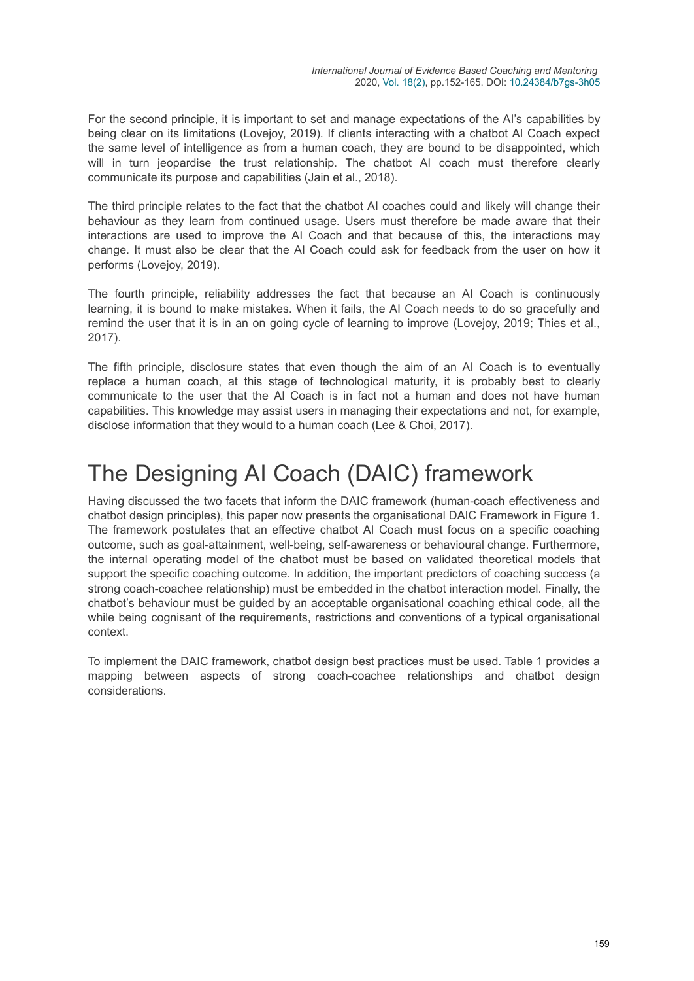For the second principle, it is important to set and manage expectations of the AI's capabilities by being clear on its limitations (Lovejoy, 2019). If clients interacting with a chatbot AI Coach expect the same level of intelligence as from a human coach, they are bound to be disappointed, which will in turn jeopardise the trust relationship. The chatbot AI coach must therefore clearly communicate its purpose and capabilities (Jain et al., 2018).

The third principle relates to the fact that the chatbot AI coaches could and likely will change their behaviour as they learn from continued usage. Users must therefore be made aware that their interactions are used to improve the AI Coach and that because of this, the interactions may change. It must also be clear that the AI Coach could ask for feedback from the user on how it performs (Lovejoy, 2019).

The fourth principle, reliability addresses the fact that because an AI Coach is continuously learning, it is bound to make mistakes. When it fails, the AI Coach needs to do so gracefully and remind the user that it is in an on going cycle of learning to improve (Lovejoy, 2019; Thies et al., 2017).

The fifth principle, disclosure states that even though the aim of an AI Coach is to eventually replace a human coach, at this stage of technological maturity, it is probably best to clearly communicate to the user that the AI Coach is in fact not a human and does not have human capabilities. This knowledge may assist users in managing their expectations and not, for example, disclose information that they would to a human coach (Lee & Choi, 2017).

# The Designing AI Coach (DAIC) framework

Having discussed the two facets that inform the DAIC framework (human-coach effectiveness and chatbot design principles), this paper now presents the organisational DAIC Framework in Figure 1. The framework postulates that an effective chatbot AI Coach must focus on a specific coaching outcome, such as goal-attainment, well-being, self-awareness or behavioural change. Furthermore, the internal operating model of the chatbot must be based on validated theoretical models that support the specific coaching outcome. In addition, the important predictors of coaching success (a strong coach-coachee relationship) must be embedded in the chatbot interaction model. Finally, the chatbot's behaviour must be guided by an acceptable organisational coaching ethical code, all the while being cognisant of the requirements, restrictions and conventions of a typical organisational context.

To implement the DAIC framework, chatbot design best practices must be used. Table 1 provides a mapping between aspects of strong coach-coachee relationships and chatbot design considerations.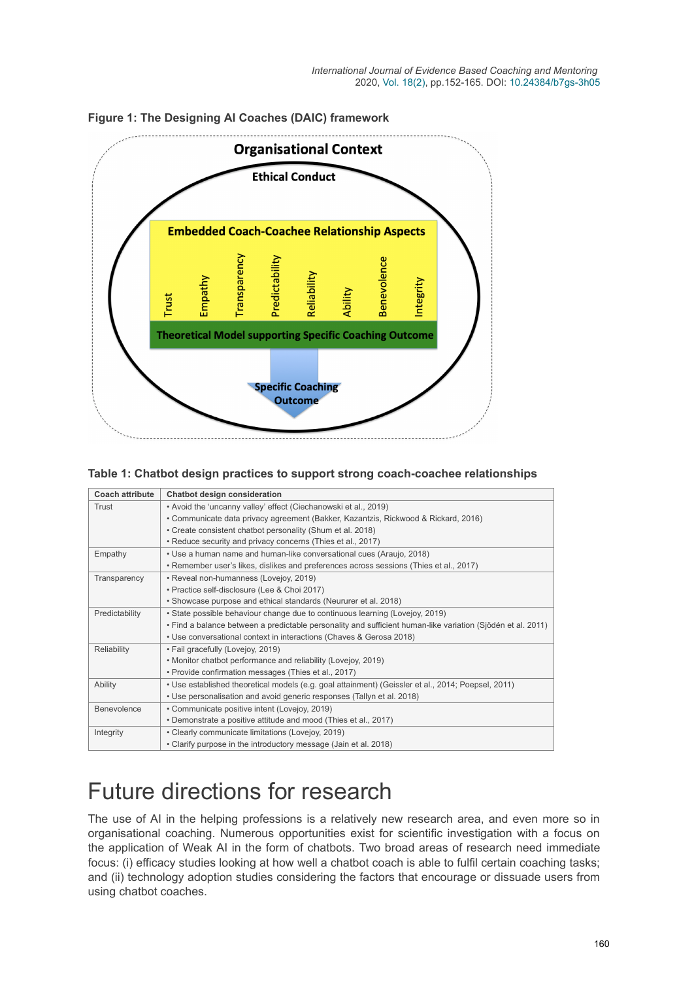

#### **Figure 1: The Designing AI Coaches (DAIC) framework**

#### **Table 1: Chatbot design practices to support strong coach-coachee relationships**

| <b>Coach attribute</b> | Chatbot design consideration                                                                                |
|------------------------|-------------------------------------------------------------------------------------------------------------|
| Trust                  | • Avoid the 'uncanny valley' effect (Ciechanowski et al., 2019)                                             |
|                        | • Communicate data privacy agreement (Bakker, Kazantzis, Rickwood & Rickard, 2016)                          |
|                        | • Create consistent chatbot personality (Shum et al. 2018)                                                  |
|                        | • Reduce security and privacy concerns (Thies et al., 2017)                                                 |
| Empathy                | • Use a human name and human-like conversational cues (Araujo, 2018)                                        |
|                        | • Remember user's likes, dislikes and preferences across sessions (Thies et al., 2017)                      |
| Transparency           | • Reveal non-humanness (Lovejoy, 2019)                                                                      |
|                        | · Practice self-disclosure (Lee & Choi 2017)                                                                |
|                        | • Showcase purpose and ethical standards (Neururer et al. 2018)                                             |
| Predictability         | • State possible behaviour change due to continuous learning (Lovejoy, 2019)                                |
|                        | · Find a balance between a predictable personality and sufficient human-like variation (Sjödén et al. 2011) |
|                        | • Use conversational context in interactions (Chaves & Gerosa 2018)                                         |
| Reliability            | • Fail gracefully (Lovejoy, 2019)                                                                           |
|                        | • Monitor chatbot performance and reliability (Lovejoy, 2019)                                               |
|                        | • Provide confirmation messages (Thies et al., 2017)                                                        |
| Ability                | • Use established theoretical models (e.g. goal attainment) (Geissler et al., 2014; Poepsel, 2011)          |
|                        | • Use personalisation and avoid generic responses (Tallyn et al. 2018)                                      |
| Benevolence            | • Communicate positive intent (Lovejoy, 2019)                                                               |
|                        | • Demonstrate a positive attitude and mood (Thies et al., 2017)                                             |
| Integrity              | • Clearly communicate limitations (Lovejoy, 2019)                                                           |
|                        | • Clarify purpose in the introductory message (Jain et al. 2018)                                            |

# Future directions for research

The use of AI in the helping professions is a relatively new research area, and even more so in organisational coaching. Numerous opportunities exist for scientific investigation with a focus on the application of Weak AI in the form of chatbots. Two broad areas of research need immediate focus: (i) efficacy studies looking at how well a chatbot coach is able to fulfil certain coaching tasks; and (ii) technology adoption studies considering the factors that encourage or dissuade users from using chatbot coaches.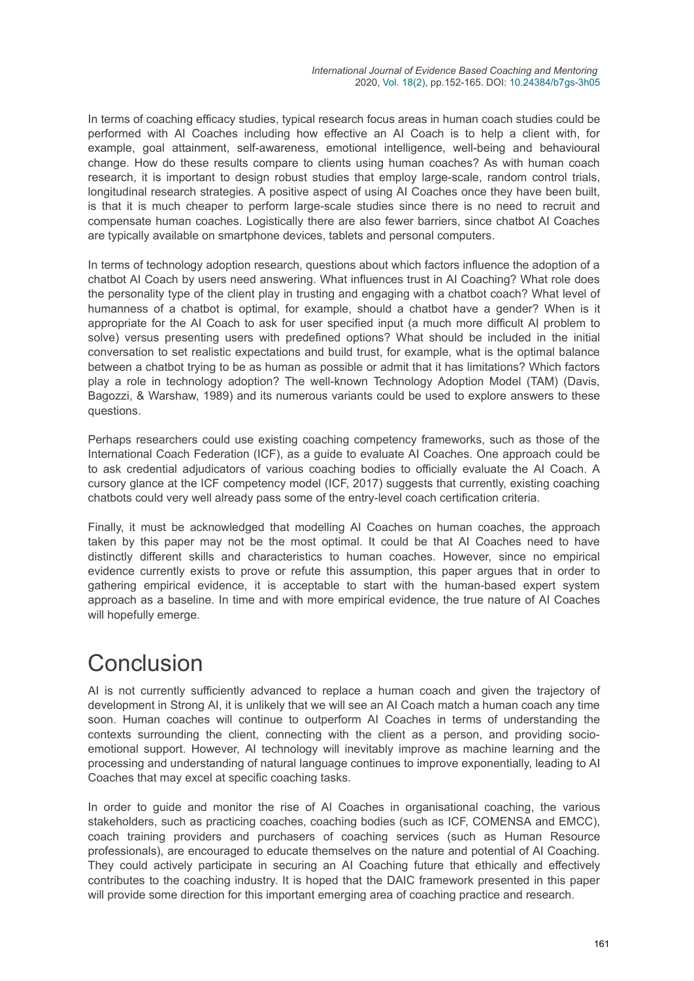In terms of coaching efficacy studies, typical research focus areas in human coach studies could be performed with AI Coaches including how effective an AI Coach is to help a client with, for example, goal attainment, self-awareness, emotional intelligence, well-being and behavioural change. How do these results compare to clients using human coaches? As with human coach research, it is important to design robust studies that employ large-scale, random control trials, longitudinal research strategies. A positive aspect of using AI Coaches once they have been built, is that it is much cheaper to perform large-scale studies since there is no need to recruit and compensate human coaches. Logistically there are also fewer barriers, since chatbot AI Coaches are typically available on smartphone devices, tablets and personal computers.

In terms of technology adoption research, questions about which factors influence the adoption of a chatbot AI Coach by users need answering. What influences trust in AI Coaching? What role does the personality type of the client play in trusting and engaging with a chatbot coach? What level of humanness of a chatbot is optimal, for example, should a chatbot have a gender? When is it appropriate for the AI Coach to ask for user specified input (a much more difficult AI problem to solve) versus presenting users with predefined options? What should be included in the initial conversation to set realistic expectations and build trust, for example, what is the optimal balance between a chatbot trying to be as human as possible or admit that it has limitations? Which factors play a role in technology adoption? The well-known Technology Adoption Model (TAM) (Davis, Bagozzi, & Warshaw, 1989) and its numerous variants could be used to explore answers to these questions.

Perhaps researchers could use existing coaching competency frameworks, such as those of the International Coach Federation (ICF), as a guide to evaluate AI Coaches. One approach could be to ask credential adjudicators of various coaching bodies to officially evaluate the AI Coach. A cursory glance at the ICF competency model (ICF, 2017) suggests that currently, existing coaching chatbots could very well already pass some of the entry-level coach certification criteria.

Finally, it must be acknowledged that modelling AI Coaches on human coaches, the approach taken by this paper may not be the most optimal. It could be that AI Coaches need to have distinctly different skills and characteristics to human coaches. However, since no empirical evidence currently exists to prove or refute this assumption, this paper argues that in order to gathering empirical evidence, it is acceptable to start with the human-based expert system approach as a baseline. In time and with more empirical evidence, the true nature of AI Coaches will hopefully emerge.

# Conclusion

AI is not currently sufficiently advanced to replace a human coach and given the trajectory of development in Strong AI, it is unlikely that we will see an AI Coach match a human coach any time soon. Human coaches will continue to outperform AI Coaches in terms of understanding the contexts surrounding the client, connecting with the client as a person, and providing socioemotional support. However, AI technology will inevitably improve as machine learning and the processing and understanding of natural language continues to improve exponentially, leading to AI Coaches that may excel at specific coaching tasks.

In order to guide and monitor the rise of AI Coaches in organisational coaching, the various stakeholders, such as practicing coaches, coaching bodies (such as ICF, COMENSA and EMCC), coach training providers and purchasers of coaching services (such as Human Resource professionals), are encouraged to educate themselves on the nature and potential of AI Coaching. They could actively participate in securing an AI Coaching future that ethically and effectively contributes to the coaching industry. It is hoped that the DAIC framework presented in this paper will provide some direction for this important emerging area of coaching practice and research.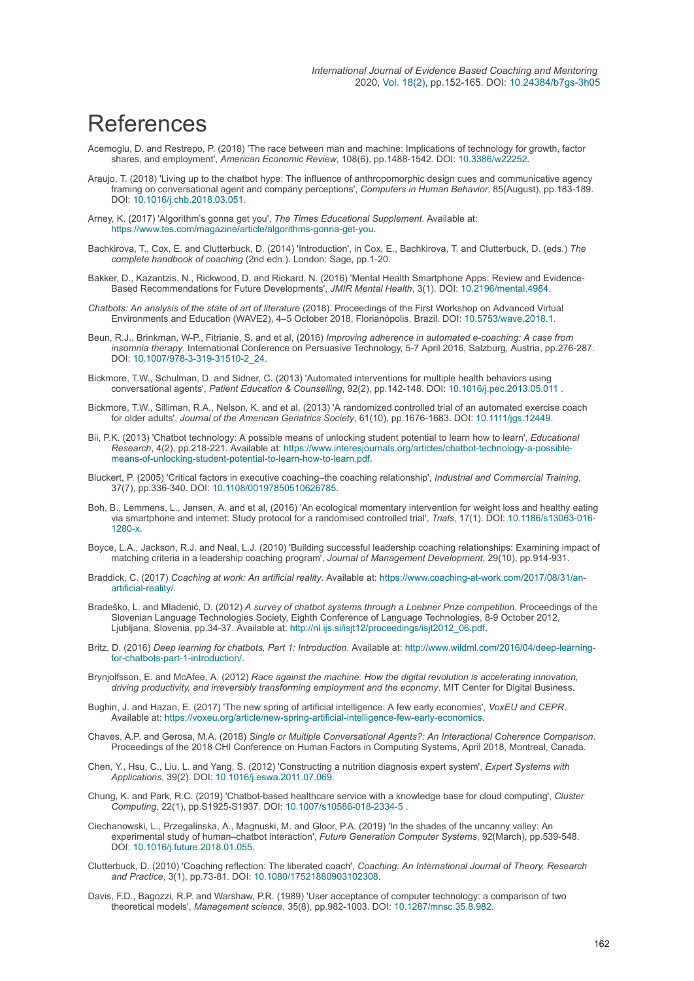## References

- Acemoglu, D. and Restrepo, P. (2018) 'The race between man and machine: Implications of technology for growth, factor shares, and employment', *American Economic Review*, 108(6), pp.1488-1542. DOI: [10.3386/w22252](https://doi.org/10.3386/w22252).
- Araujo, T. (2018) 'Living up to the chatbot hype: The influence of anthropomorphic design cues and communicative agency framing on conversational agent and company perceptions', *Computers in Human Behavior*, 85(August), pp.183-189. DOI: [10.1016/j.chb.2018.03.051.](https://doi.org/10.1016/j.chb.2018.03.051)
- Arney, K. (2017) 'Algorithm's gonna get you', *The Times Educational Supplement*. Available at: <https://www.tes.com/magazine/article/algorithms-gonna-get-you>.
- Bachkirova, T., Cox, E. and Clutterbuck, D. (2014) 'Introduction', in Cox, E., Bachkirova, T. and Clutterbuck, D. (eds.) *The complete handbook of coaching* (2nd edn.). London: Sage, pp.1-20.
- Bakker, D., Kazantzis, N., Rickwood, D. and Rickard, N. (2016) 'Mental Health Smartphone Apps: Review and Evidence-Based Recommendations for Future Developments', *JMIR Mental Health*, 3(1). DOI: [10.2196/mental.4984](https://doi.org/10.2196/mental.4984).
- *Chatbots: An analysis of the state of art of literature* (2018). Proceedings of the First Workshop on Advanced Virtual Environments and Education (WAVE2), 4–5 October 2018, Florianópolis, Brazil. DOI: [10.5753/wave.2018.1.](https://doi.org/10.5753/wave.2018.1)
- Beun, R.J., Brinkman, W-P., Fitrianie, S. and et al, (2016) *Improving adherence in automated e-coaching: A case from insomnia therapy*. International Conference on Persuasive Technology, 5-7 April 2016, Salzburg, Austria, pp.276-287. DOI: [10.1007/978-3-319-31510-2\\_24](https://doi.org/10.1007/978-3-319-31510-2_24).
- Bickmore, T.W., Schulman, D. and Sidner, C. (2013) 'Automated interventions for multiple health behaviors using conversational agents', *Patient Education & Counselling*, 92(2), pp.142-148. DOI: [10.1016/j.pec.2013.05.011](https://doi.org/10.1016/j.pec.2013.05.011) .
- Bickmore, T.W., Silliman, R.A., Nelson, K. and et al, (2013) 'A randomized controlled trial of an automated exercise coach for older adults', *Journal of the American Geriatrics Society*, 61(10), pp.1676-1683. DOI: [10.1111/jgs.12449](https://doi.org/10.1111/jgs.12449).
- Bii, P.K. (2013) 'Chatbot technology: A possible means of unlocking student potential to learn how to learn', *Educational Research*[, 4\(2\), pp.218-221. Available at: https://www.interesjournals.org/articles/chatbot-technology-a-possible](https://www.interesjournals.org/articles/chatbot-technology-a-possible-means-of-unlocking-student-potential-to-learn-how-to-learn.pdf)means-of-unlocking-student-potential-to-learn-how-to-learn.pdf.
- Bluckert, P. (2005) 'Critical factors in executive coaching–the coaching relationship', *Industrial and Commercial Training*, 37(7), pp.336-340. DOI: [10.1108/00197850510626785](https://doi.org/10.1108/00197850510626785).
- Boh, B., Lemmens, L., Jansen, A. and et al, (2016) 'An ecological momentary intervention for weight loss and healthy eating [via smartphone and internet: Study protocol for a randomised controlled trial',](https://doi.org/10.1186/s13063-016-1280-x) *Trials*, 17(1). DOI: 10.1186/s13063-016- 1280-x.
- Boyce, L.A., Jackson, R.J. and Neal, L.J. (2010) 'Building successful leadership coaching relationships: Examining impact of matching criteria in a leadership coaching program', *Journal of Management Development*, 29(10), pp.914-931.
- Braddick, C. (2017) *Coaching at work: An artificial reality*[. Available at: https://www.coaching-at-work.com/2017/08/31/an](https://www.coaching-at-work.com/2017/08/31/an-artificial-reality/)artificial-reality/.
- Bradeško, L. and Mladenić, D. (2012) *A survey of chatbot systems through a Loebner Prize competition*. Proceedings of the Slovenian Language Technologies Society, Eighth Conference of Language Technologies, 8-9 October 2012, Ljubljana, Slovenia, pp.34-37. Available at: [http://nl.ijs.si/isjt12/proceedings/isjt2012\\_06.pdf](http://nl.ijs.si/isjt12/proceedings/isjt2012_06.pdf).
- Britz, D. (2016) *Deep learning for chatbots, Part 1: Introduction*[. Available at: http://www.wildml.com/2016/04/deep-learning](http://www.wildml.com/2016/04/deep-learning-for-chatbots-part-1-introduction/)for-chatbots-part-1-introduction/.
- Brynjolfsson, E. and McAfee, A. (2012) *Race against the machine: How the digital revolution is accelerating innovation, driving productivity, and irreversibly transforming employment and the economy*. MIT Center for Digital Business.
- Bughin, J. and Hazan, E. (2017) 'The new spring of artificial intelligence: A few early economies', *VoxEU and CEPR*. Available at:<https://voxeu.org/article/new-spring-artificial-intelligence-few-early-economics>.
- Chaves, A.P. and Gerosa, M.A. (2018) *Single or Multiple Conversational Agents?: An Interactional Coherence Comparison*. Proceedings of the 2018 CHI Conference on Human Factors in Computing Systems, April 2018, Montreal, Canada.
- Chen, Y., Hsu, C., Liu, L. and Yang, S. (2012) 'Constructing a nutrition diagnosis expert system', *Expert Systems with Applications*, 39(2). DOI: [10.1016/j.eswa.2011.07.069.](https://doi.org/10.1016/j.eswa.2011.07.069)
- Chung, K. and Park, R.C. (2019) 'Chatbot-based healthcare service with a knowledge base for cloud computing', *Cluster Computing*, 22(1), pp.S1925-S1937. DOI: [10.1007/s10586-018-2334-5](https://doi.org/10.1007/s10586-018-2334-5) .
- Ciechanowski, L., Przegalinska, A., Magnuski, M. and Gloor, P.A. (2019) 'In the shades of the uncanny valley: An experimental study of human–chatbot interaction', *Future Generation Computer Systems*, 92(March), pp.539-548. DOI: [10.1016/j.future.2018.01.055](https://doi.org/10.1016/j.future.2018.01.055).
- Clutterbuck, D. (2010) 'Coaching reflection: The liberated coach', *Coaching: An International Journal of Theory, Research and Practice*, 3(1), pp.73-81. DOI: [10.1080/17521880903102308](https://doi.org/10.1080/17521880903102308).
- Davis, F.D., Bagozzi, R.P. and Warshaw, P.R. (1989) 'User acceptance of computer technology: a comparison of two theoretical models', *Management science*, 35(8), pp.982-1003. DOI: [10.1287/mnsc.35.8.982.](https://doi.org/10.1287/mnsc.35.8.982)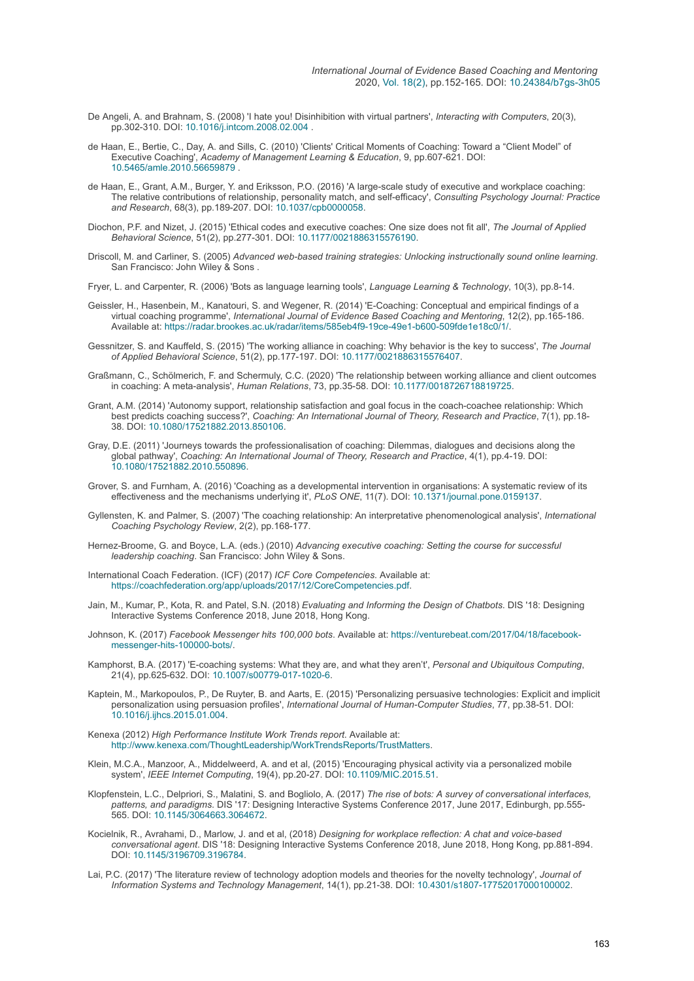- De Angeli, A. and Brahnam, S. (2008) 'I hate you! Disinhibition with virtual partners', *Interacting with Computers*, 20(3), pp.302-310. DOI: [10.1016/j.intcom.2008.02.004](https://doi.org/10.1016/j.intcom.2008.02.004) .
- de Haan, E., Bertie, C., Day, A. and Sills, C. (2010) 'Clients' Critical Moments of Coaching: Toward a "Client Model" of Executive Coaching', *Academy of Management Learning & Education*, 9, pp.607-621. DOI: [10.5465/amle.2010.56659879](https://doi.org/10.5465/amle.2010.56659879) .
- de Haan, E., Grant, A.M., Burger, Y. and Eriksson, P.O. (2016) 'A large-scale study of executive and workplace coaching: The relative contributions of relationship, personality match, and self-efficacy', *Consulting Psychology Journal: Practice and Research*, 68(3), pp.189-207. DOI: [10.1037/cpb0000058](https://doi.org/10.1037/cpb0000058).
- Diochon, P.F. and Nizet, J. (2015) 'Ethical codes and executive coaches: One size does not fit all', *The Journal of Applied Behavioral Science*, 51(2), pp.277-301. DOI: [10.1177/0021886315576190.](https://doi.org/10.1177/0021886315576190)
- Driscoll, M. and Carliner, S. (2005) *Advanced web-based training strategies: Unlocking instructionally sound online learning*. San Francisco: John Wiley & Sons .
- Fryer, L. and Carpenter, R. (2006) 'Bots as language learning tools', *Language Learning & Technology*, 10(3), pp.8-14.
- Geissler, H., Hasenbein, M., Kanatouri, S. and Wegener, R. (2014) 'E-Coaching: Conceptual and empirical findings of a virtual coaching programme', *International Journal of Evidence Based Coaching and Mentoring*, 12(2), pp.165-186. Available at:<https://radar.brookes.ac.uk/radar/items/585eb4f9-19ce-49e1-b600-509fde1e18c0/1/>.
- Gessnitzer, S. and Kauffeld, S. (2015) 'The working alliance in coaching: Why behavior is the key to success', *The Journal of Applied Behavioral Science*, 51(2), pp.177-197. DOI: [10.1177/0021886315576407](https://doi.org/10.1177/0021886315576407).
- Graßmann, C., Schölmerich, F. and Schermuly, C.C. (2020) 'The relationship between working alliance and client outcomes in coaching: A meta-analysis', *Human Relations*, 73, pp.35-58. DOI: [10.1177/0018726718819725.](https://doi.org/10.1177/0018726718819725)
- Grant, A.M. (2014) 'Autonomy support, relationship satisfaction and goal focus in the coach-coachee relationship: Which best predicts coaching success?', *Coaching: An International Journal of Theory, Research and Practice*, 7(1), pp.18- 38. DOI: [10.1080/17521882.2013.850106](https://doi.org/10.1080/17521882.2013.850106).
- Gray, D.E. (2011) 'Journeys towards the professionalisation of coaching: Dilemmas, dialogues and decisions along the global pathway', *Coaching: An International Journal of Theory, Research and Practice*, 4(1), pp.4-19. DOI: [10.1080/17521882.2010.550896](https://doi.org/10.1080/17521882.2010.550896).
- Grover, S. and Furnham, A. (2016) 'Coaching as a developmental intervention in organisations: A systematic review of its effectiveness and the mechanisms underlying it', *PLoS ONE*, 11(7). DOI: [10.1371/journal.pone.0159137](https://doi.org/10.1371/journal.pone.0159137).
- Gyllensten, K. and Palmer, S. (2007) 'The coaching relationship: An interpretative phenomenological analysis', *International Coaching Psychology Review*, 2(2), pp.168-177.
- Hernez-Broome, G. and Boyce, L.A. (eds.) (2010) *Advancing executive coaching: Setting the course for successful leadership coaching*. San Francisco: John Wiley & Sons.
- International Coach Federation. (ICF) (2017) *ICF Core Competencies*. Available at: <https://coachfederation.org/app/uploads/2017/12/CoreCompetencies.pdf>.
- Jain, M., Kumar, P., Kota, R. and Patel, S.N. (2018) *Evaluating and Informing the Design of Chatbots*. DIS '18: Designing Interactive Systems Conference 2018, June 2018, Hong Kong.
- Johnson, K. (2017) *Facebook Messenger hits 100,000 bots*[. Available at: https://venturebeat.com/2017/04/18/facebook](https://venturebeat.com/2017/04/18/facebook-messenger-hits-100000-bots/)messenger-hits-100000-bots/.
- Kamphorst, B.A. (2017) 'E-coaching systems: What they are, and what they aren't', *Personal and Ubiquitous Computing*, 21(4), pp.625-632. DOI: [10.1007/s00779-017-1020-6](https://doi.org/10.1007/s00779-017-1020-6).
- Kaptein, M., Markopoulos, P., De Ruyter, B. and Aarts, E. (2015) 'Personalizing persuasive technologies: Explicit and implicit personalization using persuasion profiles', *International Journal of Human-Computer Studies*, 77, pp.38-51. DOI: [10.1016/j.ijhcs.2015.01.004](https://doi.org/10.1016/j.ijhcs.2015.01.004).
- Kenexa (2012) *High Performance Institute Work Trends report*. Available at: <http://www.kenexa.com/ThoughtLeadership/WorkTrendsReports/TrustMatters>.
- Klein, M.C.A., Manzoor, A., Middelweerd, A. and et al, (2015) 'Encouraging physical activity via a personalized mobile system', *IEEE Internet Computing*, 19(4), pp.20-27. DOI: [10.1109/MIC.2015.51.](https://doi.org/10.1109/MIC.2015.51)
- Klopfenstein, L.C., Delpriori, S., Malatini, S. and Bogliolo, A. (2017) *The rise of bots: A survey of conversational interfaces, patterns, and paradigms*. DIS '17: Designing Interactive Systems Conference 2017, June 2017, Edinburgh, pp.555- 565. DOI: [10.1145/3064663.3064672](https://doi.org/10.1145/3064663.3064672).
- Kocielnik, R., Avrahami, D., Marlow, J. and et al, (2018) *Designing for workplace reflection: A chat and voice-based conversational agent*. DIS '18: Designing Interactive Systems Conference 2018, June 2018, Hong Kong, pp.881-894. DOI: [10.1145/3196709.3196784](https://doi.org/10.1145/3196709.3196784).
- Lai, P.C. (2017) 'The literature review of technology adoption models and theories for the novelty technology', *Journal of Information Systems and Technology Management*, 14(1), pp.21-38. DOI: [10.4301/s1807-17752017000100002](https://doi.org/10.4301/s1807-17752017000100002).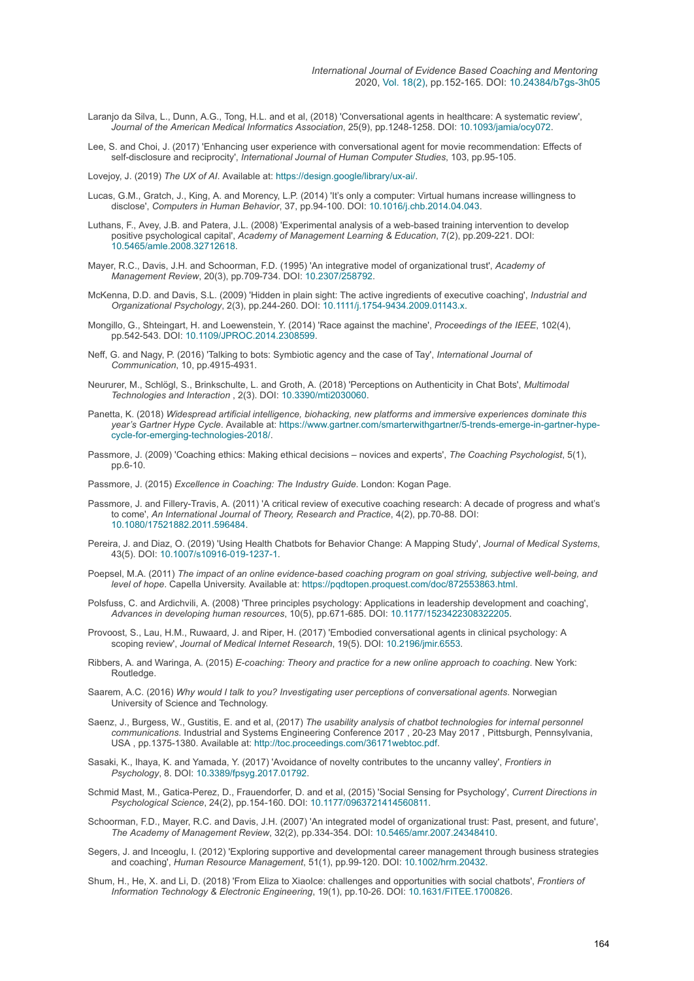- Laranjo da Silva, L., Dunn, A.G., Tong, H.L. and et al, (2018) 'Conversational agents in healthcare: A systematic review', *Journal of the American Medical Informatics Association*, 25(9), pp.1248-1258. DOI: [10.1093/jamia/ocy072](https://doi.org/10.1093/jamia/ocy072).
- Lee, S. and Choi, J. (2017) 'Enhancing user experience with conversational agent for movie recommendation: Effects of self-disclosure and reciprocity', *International Journal of Human Computer Studies*, 103, pp.95-105.

Lovejoy, J. (2019) *The UX of AI*. Available at:<https://design.google/library/ux-ai/>.

- Lucas, G.M., Gratch, J., King, A. and Morency, L.P. (2014) 'It's only a computer: Virtual humans increase willingness to disclose', *Computers in Human Behavior*, 37, pp.94-100. DOI: [10.1016/j.chb.2014.04.043.](https://doi.org/10.1016/j.chb.2014.04.043)
- Luthans, F., Avey, J.B. and Patera, J.L. (2008) 'Experimental analysis of a web-based training intervention to develop positive psychological capital', *Academy of Management Learning & Education*, 7(2), pp.209-221. DOI: [10.5465/amle.2008.32712618.](https://doi.org/10.5465/amle.2008.32712618)
- Mayer, R.C., Davis, J.H. and Schoorman, F.D. (1995) 'An integrative model of organizational trust', *Academy of Management Review*, 20(3), pp.709-734. DOI: [10.2307/258792.](https://doi.org/10.2307/258792)
- McKenna, D.D. and Davis, S.L. (2009) 'Hidden in plain sight: The active ingredients of executive coaching', *Industrial and Organizational Psychology*, 2(3), pp.244-260. DOI: [10.1111/j.1754-9434.2009.01143.x](https://doi.org/10.1111/j.1754-9434.2009.01143.x).
- Mongillo, G., Shteingart, H. and Loewenstein, Y. (2014) 'Race against the machine', *Proceedings of the IEEE*, 102(4), pp.542-543. DOI: [10.1109/JPROC.2014.2308599](https://doi.org/10.1109/JPROC.2014.2308599).
- Neff, G. and Nagy, P. (2016) 'Talking to bots: Symbiotic agency and the case of Tay', *International Journal of Communication*, 10, pp.4915-4931.
- Neururer, M., Schlögl, S., Brinkschulte, L. and Groth, A. (2018) 'Perceptions on Authenticity in Chat Bots', *Multimodal Technologies and Interaction* , 2(3). DOI: [10.3390/mti2030060](https://doi.org/10.3390/mti2030060).
- Panetta, K. (2018) *Widespread artificial intelligence, biohacking, new platforms and immersive experiences dominate this year's Gartner Hype Cycle*[. Available at: https://www.gartner.com/smarterwithgartner/5-trends-emerge-in-gartner-hype](https://www.gartner.com/smarterwithgartner/5-trends-emerge-in-gartner-hype-cycle-for-emerging-technologies-2018/)cycle-for-emerging-technologies-2018/.
- Passmore, J. (2009) 'Coaching ethics: Making ethical decisions novices and experts', *The Coaching Psychologist*, 5(1), pp.6-10.

Passmore, J. (2015) *Excellence in Coaching: The Industry Guide*. London: Kogan Page.

- Passmore, J. and Fillery-Travis, A. (2011) 'A critical review of executive coaching research: A decade of progress and what's to come', *An International Journal of Theory, Research and Practice*, 4(2), pp.70-88. DOI: [10.1080/17521882.2011.596484](https://doi.org/10.1080/17521882.2011.596484).
- Pereira, J. and Diaz, O. (2019) 'Using Health Chatbots for Behavior Change: A Mapping Study', *Journal of Medical Systems*, 43(5). DOI: [10.1007/s10916-019-1237-1](https://doi.org/10.1007/s10916-019-1237-1).
- Poepsel, M.A. (2011) *The impact of an online evidence-based coaching program on goal striving, subjective well-being, and level of hope*. Capella University. Available at: <https://pqdtopen.proquest.com/doc/872553863.html>.
- Polsfuss, C. and Ardichvili, A. (2008) 'Three principles psychology: Applications in leadership development and coaching', *Advances in developing human resources*, 10(5), pp.671-685. DOI: [10.1177/1523422308322205.](https://doi.org/10.1177/1523422308322205)
- Provoost, S., Lau, H.M., Ruwaard, J. and Riper, H. (2017) 'Embodied conversational agents in clinical psychology: A scoping review', *Journal of Medical Internet Research*, 19(5). DOI: [10.2196/jmir.6553.](https://doi.org/10.2196/jmir.6553)
- Ribbers, A. and Waringa, A. (2015) *E-coaching: Theory and practice for a new online approach to coaching*. New York: Routledge.
- Saarem, A.C. (2016) *Why would I talk to you? Investigating user perceptions of conversational agents*. Norwegian University of Science and Technology.
- Saenz, J., Burgess, W., Gustitis, E. and et al, (2017) *The usability analysis of chatbot technologies for internal personnel communications*. Industrial and Systems Engineering Conference 2017 , 20-23 May 2017 , Pittsburgh, Pennsylvania, USA , pp.1375-1380. Available at:<http://toc.proceedings.com/36171webtoc.pdf>.
- Sasaki, K., Ihaya, K. and Yamada, Y. (2017) 'Avoidance of novelty contributes to the uncanny valley', *Frontiers in Psychology*, 8. DOI: [10.3389/fpsyg.2017.01792](https://doi.org/10.3389/fpsyg.2017.01792).
- Schmid Mast, M., Gatica-Perez, D., Frauendorfer, D. and et al, (2015) 'Social Sensing for Psychology', *Current Directions in Psychological Science*, 24(2), pp.154-160. DOI: [10.1177/0963721414560811.](https://doi.org/10.1177/0963721414560811)
- Schoorman, F.D., Mayer, R.C. and Davis, J.H. (2007) 'An integrated model of organizational trust: Past, present, and future', *The Academy of Management Review*, 32(2), pp.334-354. DOI: [10.5465/amr.2007.24348410](https://doi.org/10.5465/amr.2007.24348410).
- Segers, J. and Inceoglu, I. (2012) 'Exploring supportive and developmental career management through business strategies and coaching', *Human Resource Management*, 51(1), pp.99-120. DOI: [10.1002/hrm.20432](https://doi.org/10.1002/hrm.20432).
- Shum, H., He, X. and Li, D. (2018) 'From Eliza to XiaoIce: challenges and opportunities with social chatbots', *Frontiers of Information Technology & Electronic Engineering*, 19(1), pp.10-26. DOI: [10.1631/FITEE.1700826](https://doi.org/10.1631/FITEE.1700826).